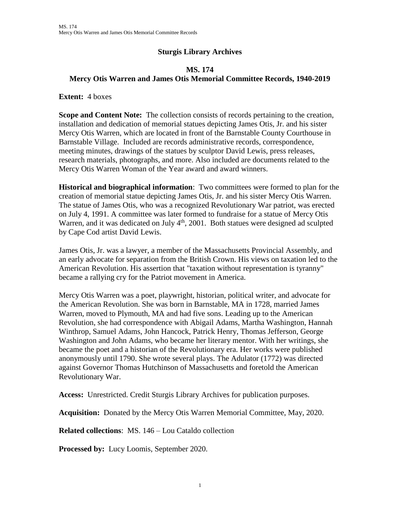## **Sturgis Library Archives**

## **MS. 174 Mercy Otis Warren and James Otis Memorial Committee Records, 1940-2019**

**Extent:** 4 boxes

**Scope and Content Note:** The collection consists of records pertaining to the creation, installation and dedication of memorial statues depicting James Otis, Jr. and his sister Mercy Otis Warren, which are located in front of the Barnstable County Courthouse in Barnstable Village. Included are records administrative records, correspondence, meeting minutes, drawings of the statues by sculptor David Lewis, press releases, research materials, photographs, and more. Also included are documents related to the Mercy Otis Warren Woman of the Year award and award winners.

**Historical and biographical information**: Two committees were formed to plan for the creation of memorial statue depicting James Otis, Jr. and his sister Mercy Otis Warren. The statue of James Otis, who was a recognized Revolutionary War patriot, was erected on July 4, 1991. A committee was later formed to fundraise for a statue of Mercy Otis Warren, and it was dedicated on July 4<sup>th</sup>, 2001. Both statues were designed ad sculpted by Cape Cod artist David Lewis.

James Otis, Jr. was a lawyer, a member of the Massachusetts Provincial Assembly, and an early advocate for separation from the British Crown. His views on taxation led to the American Revolution. His assertion that "taxation without representation is tyranny" became a rallying cry for the Patriot movement in America.

Mercy Otis Warren was a poet, playwright, historian, political writer, and advocate for the American Revolution. She was born in Barnstable, MA in 1728, married James Warren, moved to Plymouth, MA and had five sons. Leading up to the American Revolution, she had correspondence with Abigail Adams, Martha Washington, Hannah Winthrop, Samuel Adams, John Hancock, Patrick Henry, Thomas Jefferson, George Washington and John Adams, who became her literary mentor. With her writings, she became the poet and a historian of the Revolutionary era. Her works were published anonymously until 1790. She wrote several plays. The Adulator (1772) was directed against Governor Thomas Hutchinson of Massachusetts and foretold the American Revolutionary War.

**Access:** Unrestricted. Credit Sturgis Library Archives for publication purposes.

**Acquisition:** Donated by the Mercy Otis Warren Memorial Committee, May, 2020.

**Related collections**: MS. 146 – Lou Cataldo collection

**Processed by:** Lucy Loomis, September 2020.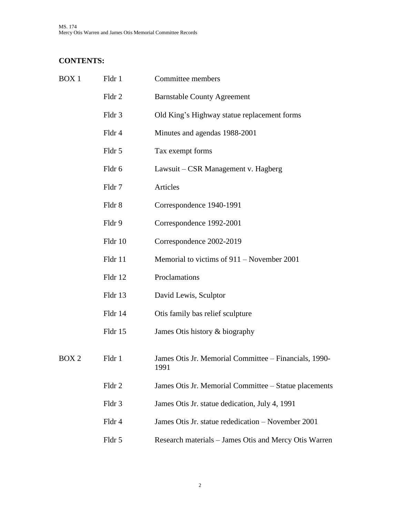MS. 174 Mercy Otis Warren and James Otis Memorial Committee Records

## **CONTENTS:**

| Fldr 1  | Committee members                                             |
|---------|---------------------------------------------------------------|
| Fldr 2  | <b>Barnstable County Agreement</b>                            |
| Fldr 3  | Old King's Highway statue replacement forms                   |
| Fldr 4  | Minutes and agendas 1988-2001                                 |
| Fldr 5  | Tax exempt forms                                              |
| Fldr 6  | Lawsuit – CSR Management v. Hagberg                           |
| Fldr 7  | Articles                                                      |
| Fldr 8  | Correspondence 1940-1991                                      |
| Fldr 9  | Correspondence 1992-2001                                      |
| Fldr 10 | Correspondence 2002-2019                                      |
| Fldr 11 | Memorial to victims of $911 -$ November 2001                  |
| Fldr 12 | Proclamations                                                 |
| Fldr 13 | David Lewis, Sculptor                                         |
| Fldr 14 | Otis family bas relief sculpture                              |
| Fldr 15 | James Otis history & biography                                |
| Fldr 1  | James Otis Jr. Memorial Committee – Financials, 1990-<br>1991 |
| Fldr 2  | James Otis Jr. Memorial Committee - Statue placements         |
| Fldr 3  | James Otis Jr. statue dedication, July 4, 1991                |
| Fldr 4  | James Otis Jr. statue rededication - November 2001            |
| Fldr 5  | Research materials - James Otis and Mercy Otis Warren         |
|         |                                                               |